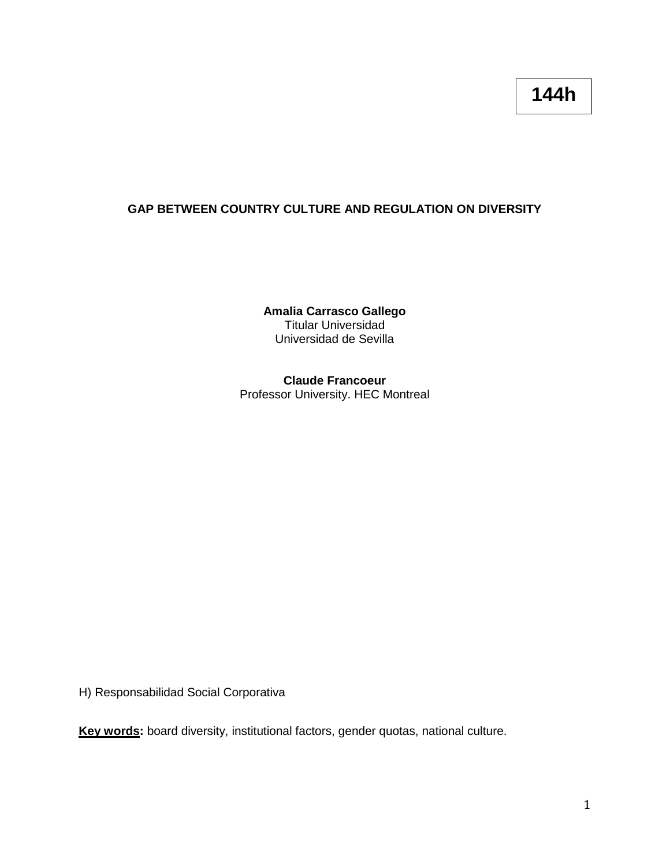## **GAP BETWEEN COUNTRY CULTURE AND REGULATION ON DIVERSITY**

**Amalia Carrasco Gallego** Titular Universidad Universidad de Sevilla

### **Claude Francoeur** Professor University. HEC Montreal

H) Responsabilidad Social Corporativa

**Key words:** board diversity, institutional factors, gender quotas, national culture.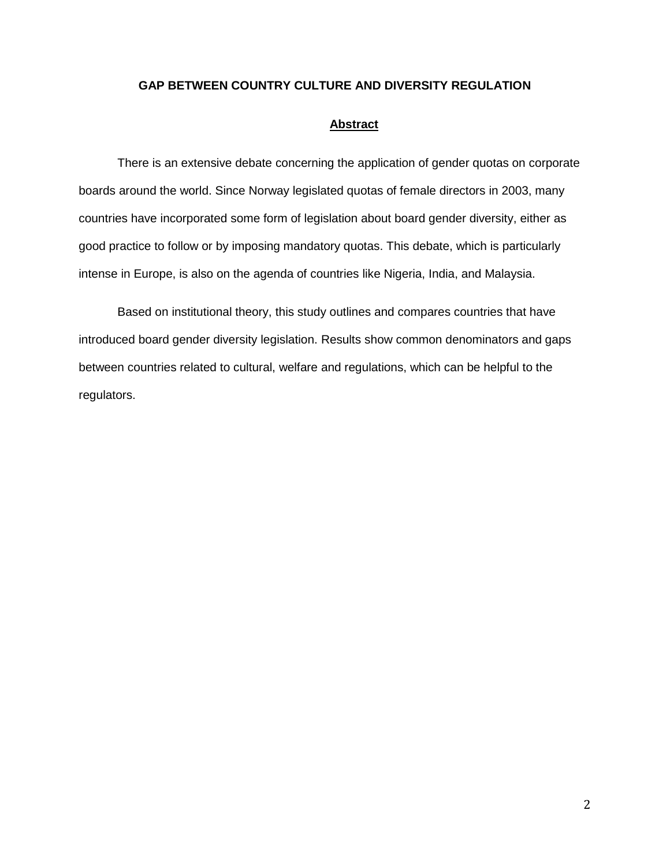#### **GAP BETWEEN COUNTRY CULTURE AND DIVERSITY REGULATION**

#### **Abstract**

There is an extensive debate concerning the application of gender quotas on corporate boards around the world. Since Norway legislated quotas of female directors in 2003, many countries have incorporated some form of legislation about board gender diversity, either as good practice to follow or by imposing mandatory quotas. This debate, which is particularly intense in Europe, is also on the agenda of countries like Nigeria, India, and Malaysia.

Based on institutional theory, this study outlines and compares countries that have introduced board gender diversity legislation. Results show common denominators and gaps between countries related to cultural, welfare and regulations, which can be helpful to the regulators.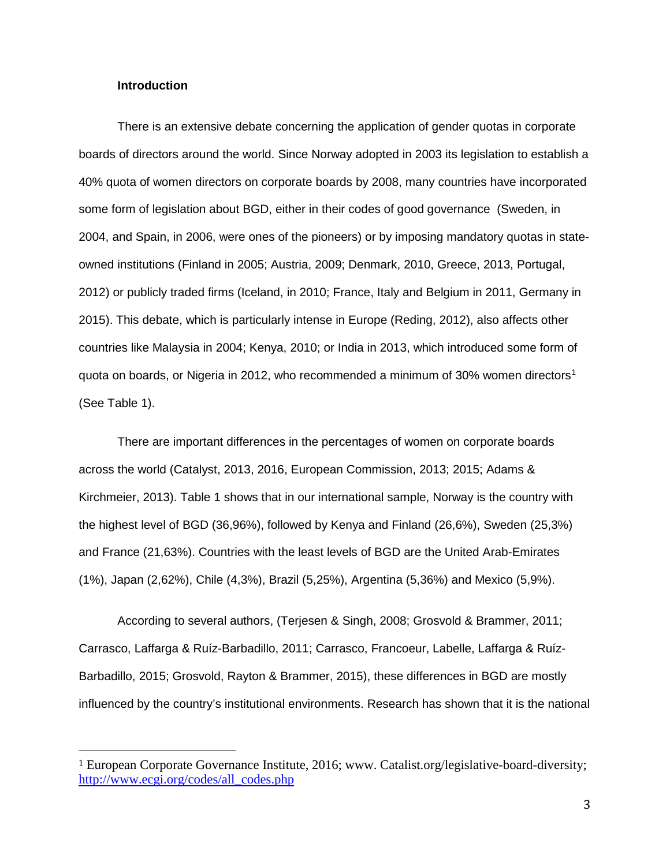#### **Introduction**

There is an extensive debate concerning the application of gender quotas in corporate boards of directors around the world. Since Norway adopted in 2003 its legislation to establish a 40% quota of women directors on corporate boards by 2008, many countries have incorporated some form of legislation about BGD, either in their codes of good governance (Sweden, in 2004, and Spain, in 2006, were ones of the pioneers) or by imposing mandatory quotas in stateowned institutions (Finland in 2005; Austria, 2009; Denmark, 2010, Greece, 2013, Portugal, 2012) or publicly traded firms (Iceland, in 2010; France, Italy and Belgium in 2011, Germany in 2015). This debate, which is particularly intense in Europe (Reding, 2012), also affects other countries like Malaysia in 2004; Kenya, 2010; or India in 2013, which introduced some form of quota on boards, or Nigeria in 20[1](#page-2-0)2, who recommended a minimum of 30% women directors<sup>1</sup> (See Table 1).

There are important differences in the percentages of women on corporate boards across the world (Catalyst, 2013, 2016, European Commission, 2013; 2015; Adams & Kirchmeier, 2013). Table 1 shows that in our international sample, Norway is the country with the highest level of BGD (36,96%), followed by Kenya and Finland (26,6%), Sweden (25,3%) and France (21,63%). Countries with the least levels of BGD are the United Arab-Emirates (1%), Japan (2,62%), Chile (4,3%), Brazil (5,25%), Argentina (5,36%) and Mexico (5,9%).

According to several authors, (Terjesen & Singh, 2008; Grosvold & Brammer, 2011; Carrasco, Laffarga & Ruíz-Barbadillo, 2011; Carrasco, Francoeur, Labelle, Laffarga & Ruíz-Barbadillo, 2015; Grosvold, Rayton & Brammer, 2015), these differences in BGD are mostly influenced by the country's institutional environments. Research has shown that it is the national

<span id="page-2-0"></span> <sup>1</sup> European Corporate Governance Institute, 2016; www. Catalist.org/legislative-board-diversity; [http://www.ecgi.org/codes/all\\_codes.php](http://www.ecgi.org/codes/all_codes.php)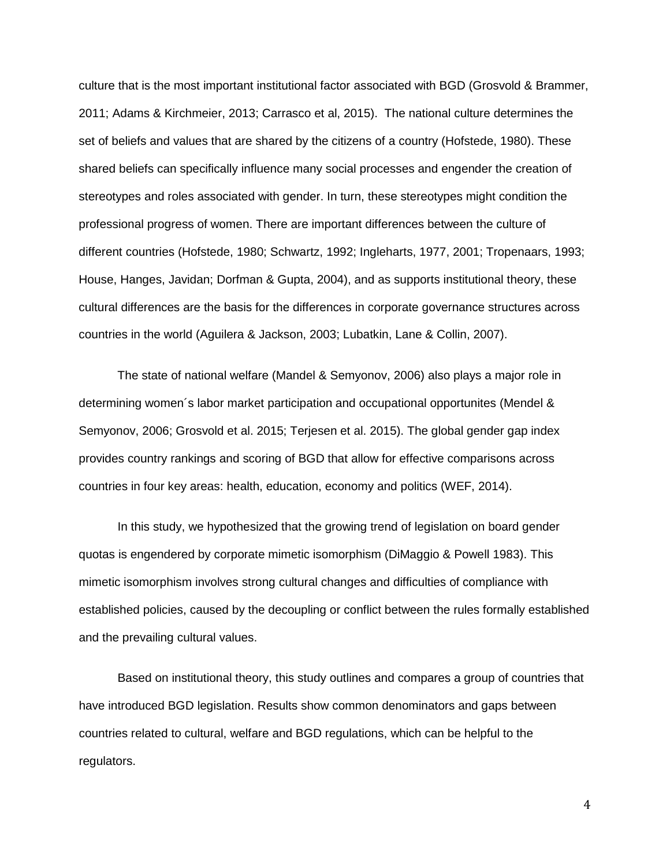culture that is the most important institutional factor associated with BGD (Grosvold & Brammer, 2011; Adams & Kirchmeier, 2013; Carrasco et al, 2015). The national culture determines the set of beliefs and values that are shared by the citizens of a country (Hofstede, 1980). These shared beliefs can specifically influence many social processes and engender the creation of stereotypes and roles associated with gender. In turn, these stereotypes might condition the professional progress of women. There are important differences between the culture of different countries (Hofstede, 1980; Schwartz, 1992; Ingleharts, 1977, 2001; Tropenaars, 1993; House, Hanges, Javidan; Dorfman & Gupta, 2004), and as supports institutional theory, these cultural differences are the basis for the differences in corporate governance structures across countries in the world (Aguilera & Jackson, 2003; Lubatkin, Lane & Collin, 2007).

The state of national welfare (Mandel & Semyonov, 2006) also plays a major role in determining women´s labor market participation and occupational opportunites (Mendel & Semyonov, 2006; Grosvold et al. 2015; Terjesen et al. 2015). The global gender gap index provides country rankings and scoring of BGD that allow for effective comparisons across countries in four key areas: health, education, economy and politics (WEF, 2014).

In this study, we hypothesized that the growing trend of legislation on board gender quotas is engendered by corporate mimetic isomorphism (DiMaggio & Powell 1983). This mimetic isomorphism involves strong cultural changes and difficulties of compliance with established policies, caused by the decoupling or conflict between the rules formally established and the prevailing cultural values.

Based on institutional theory, this study outlines and compares a group of countries that have introduced BGD legislation. Results show common denominators and gaps between countries related to cultural, welfare and BGD regulations, which can be helpful to the regulators.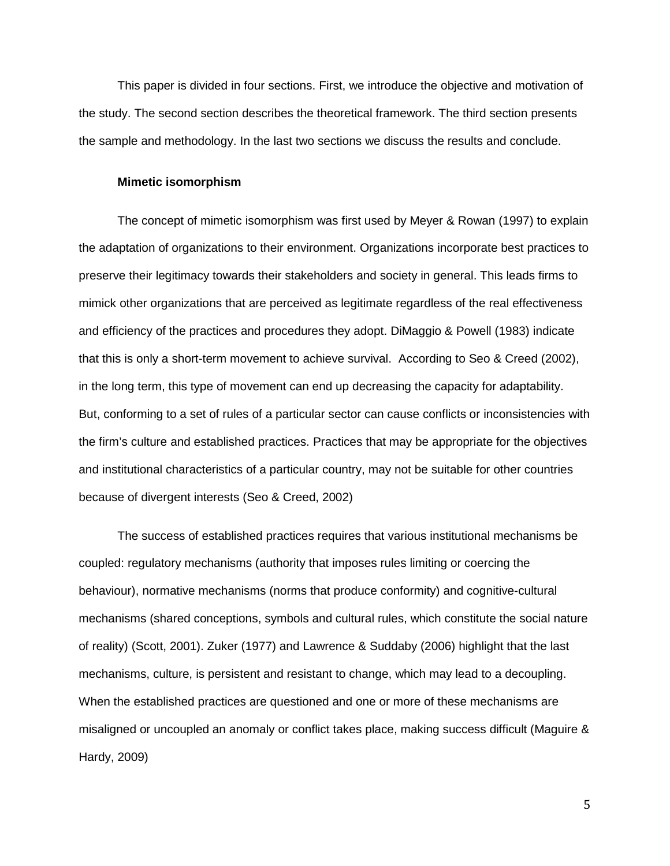This paper is divided in four sections. First, we introduce the objective and motivation of the study. The second section describes the theoretical framework. The third section presents the sample and methodology. In the last two sections we discuss the results and conclude.

#### **Mimetic isomorphism**

The concept of mimetic isomorphism was first used by Meyer & Rowan (1997) to explain the adaptation of organizations to their environment. Organizations incorporate best practices to preserve their legitimacy towards their stakeholders and society in general. This leads firms to mimick other organizations that are perceived as legitimate regardless of the real effectiveness and efficiency of the practices and procedures they adopt. DiMaggio & Powell (1983) indicate that this is only a short-term movement to achieve survival. According to Seo & Creed (2002), in the long term, this type of movement can end up decreasing the capacity for adaptability. But, conforming to a set of rules of a particular sector can cause conflicts or inconsistencies with the firm's culture and established practices. Practices that may be appropriate for the objectives and institutional characteristics of a particular country, may not be suitable for other countries because of divergent interests (Seo & Creed, 2002)

The success of established practices requires that various institutional mechanisms be coupled: regulatory mechanisms (authority that imposes rules limiting or coercing the behaviour), normative mechanisms (norms that produce conformity) and cognitive-cultural mechanisms (shared conceptions, symbols and cultural rules, which constitute the social nature of reality) (Scott, 2001). Zuker (1977) and Lawrence & Suddaby (2006) highlight that the last mechanisms, culture, is persistent and resistant to change, which may lead to a decoupling. When the established practices are questioned and one or more of these mechanisms are misaligned or uncoupled an anomaly or conflict takes place, making success difficult (Maguire & Hardy, 2009)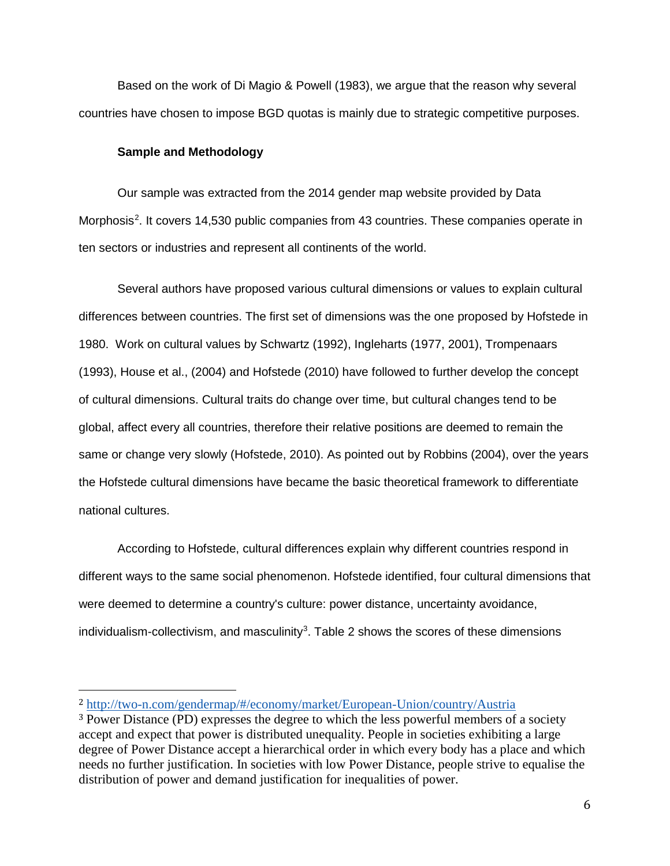Based on the work of Di Magio & Powell (1983), we argue that the reason why several countries have chosen to impose BGD quotas is mainly due to strategic competitive purposes.

#### **Sample and Methodology**

Our sample was extracted from the 2014 gender map website provided by Data Morphosis<sup>[2](#page-5-0)</sup>. It covers 14,530 public companies from 43 countries. These companies operate in ten sectors or industries and represent all continents of the world.

Several authors have proposed various cultural dimensions or values to explain cultural differences between countries. The first set of dimensions was the one proposed by Hofstede in 1980. Work on cultural values by Schwartz (1992), Ingleharts (1977, 2001), Trompenaars (1993), House et al., (2004) and Hofstede (2010) have followed to further develop the concept of cultural dimensions. Cultural traits do change over time, but cultural changes tend to be global, affect every all countries, therefore their relative positions are deemed to remain the same or change very slowly (Hofstede, 2010). As pointed out by Robbins (2004), over the years the Hofstede cultural dimensions have became the basic theoretical framework to differentiate national cultures.

According to Hofstede, cultural differences explain why different countries respond in different ways to the same social phenomenon. Hofstede identified, four cultural dimensions that were deemed to determine a country's culture: power distance, uncertainty avoidance, individualism-collectivism, and masculinity<sup>[3](#page-5-1)</sup>. Table 2 shows the scores of these dimensions

<span id="page-5-0"></span> <sup>2</sup> <http://two-n.com/gendermap/#/economy/market/European-Union/country/Austria>

<span id="page-5-1"></span><sup>3</sup> Power Distance (PD) expresses the degree to which the less powerful members of a society accept and expect that power is distributed unequality. People in societies exhibiting a large degree of Power Distance accept a hierarchical order in which every body has a place and which needs no further justification. In societies with low Power Distance, people strive to equalise the distribution of power and demand justification for inequalities of power.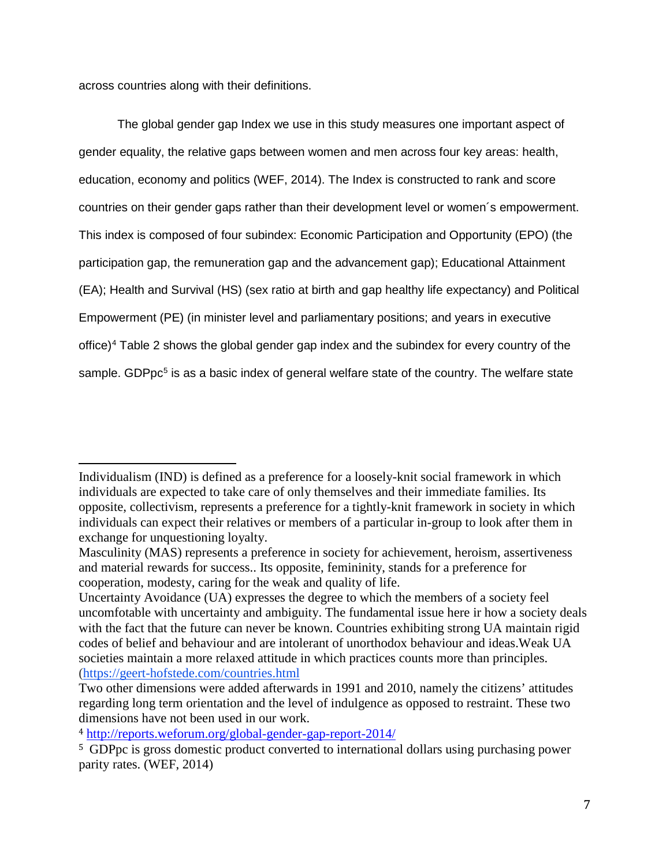across countries along with their definitions.

The global gender gap Index we use in this study measures one important aspect of gender equality, the relative gaps between women and men across four key areas: health, education, economy and politics (WEF, 2014). The Index is constructed to rank and score countries on their gender gaps rather than their development level or women´s empowerment. This index is composed of four subindex: Economic Participation and Opportunity (EPO) (the participation gap, the remuneration gap and the advancement gap); Educational Attainment (EA); Health and Survival (HS) (sex ratio at birth and gap healthy life expectancy) and Political Empowerment (PE) (in minister level and parliamentary positions; and years in executive office[\)4](#page-6-0) Table 2 shows the global gender gap index and the subindex for every country of the sample. GDPpc<sup>[5](#page-6-1)</sup> is as a basic index of general welfare state of the country. The welfare state

<span id="page-6-0"></span><sup>4</sup> <http://reports.weforum.org/global-gender-gap-report-2014/>

i<br>I Individualism (IND) is defined as a preference for a loosely-knit social framework in which individuals are expected to take care of only themselves and their immediate families. Its opposite, collectivism, represents a preference for a tightly-knit framework in society in which individuals can expect their relatives or members of a particular in-group to look after them in exchange for unquestioning loyalty.

Masculinity (MAS) represents a preference in society for achievement, heroism, assertiveness and material rewards for success.. Its opposite, femininity, stands for a preference for cooperation, modesty, caring for the weak and quality of life.

Uncertainty Avoidance (UA) expresses the degree to which the members of a society feel uncomfotable with uncertainty and ambiguity. The fundamental issue here ir how a society deals with the fact that the future can never be known. Countries exhibiting strong UA maintain rigid codes of belief and behaviour and are intolerant of unorthodox behaviour and ideas.Weak UA societies maintain a more relaxed attitude in which practices counts more than principles. [\(https://geert-hofstede.com/countries.html](https://geert-hofstede.com/countries.html)

Two other dimensions were added afterwards in 1991 and 2010, namely the citizens' attitudes regarding long term orientation and the level of indulgence as opposed to restraint. These two dimensions have not been used in our work.

<span id="page-6-1"></span><sup>5</sup> GDPpc is gross domestic product converted to international dollars using purchasing power parity rates. (WEF, 2014)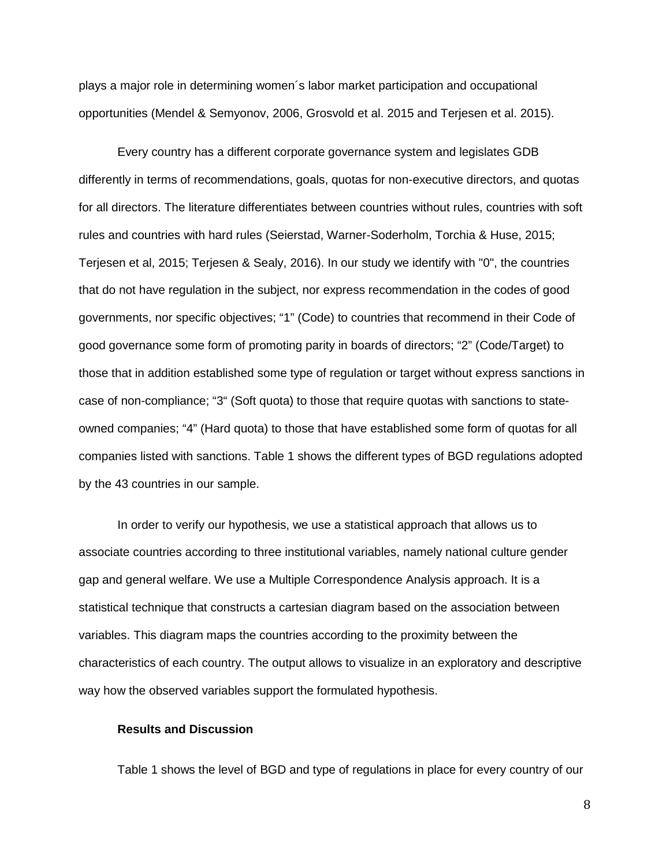plays a major role in determining women´s labor market participation and occupational opportunities (Mendel & Semyonov, 2006, Grosvold et al. 2015 and Terjesen et al. 2015).

Every country has a different corporate governance system and legislates GDB differently in terms of recommendations, goals, quotas for non-executive directors, and quotas for all directors. The literature differentiates between countries without rules, countries with soft rules and countries with hard rules (Seierstad, Warner-Soderholm, Torchia & Huse, 2015; Terjesen et al, 2015; Terjesen & Sealy, 2016). In our study we identify with "0", the countries that do not have regulation in the subject, nor express recommendation in the codes of good governments, nor specific objectives; "1" (Code) to countries that recommend in their Code of good governance some form of promoting parity in boards of directors; "2" (Code/Target) to those that in addition established some type of regulation or target without express sanctions in case of non-compliance; "3" (Soft quota) to those that require quotas with sanctions to stateowned companies; "4" (Hard quota) to those that have established some form of quotas for all companies listed with sanctions. Table 1 shows the different types of BGD regulations adopted by the 43 countries in our sample.

In order to verify our hypothesis, we use a statistical approach that allows us to associate countries according to three institutional variables, namely national culture gender gap and general welfare. We use a Multiple Correspondence Analysis approach. It is a statistical technique that constructs a cartesian diagram based on the association between variables. This diagram maps the countries according to the proximity between the characteristics of each country. The output allows to visualize in an exploratory and descriptive way how the observed variables support the formulated hypothesis.

## **Results and Discussion**

Table 1 shows the level of BGD and type of regulations in place for every country of our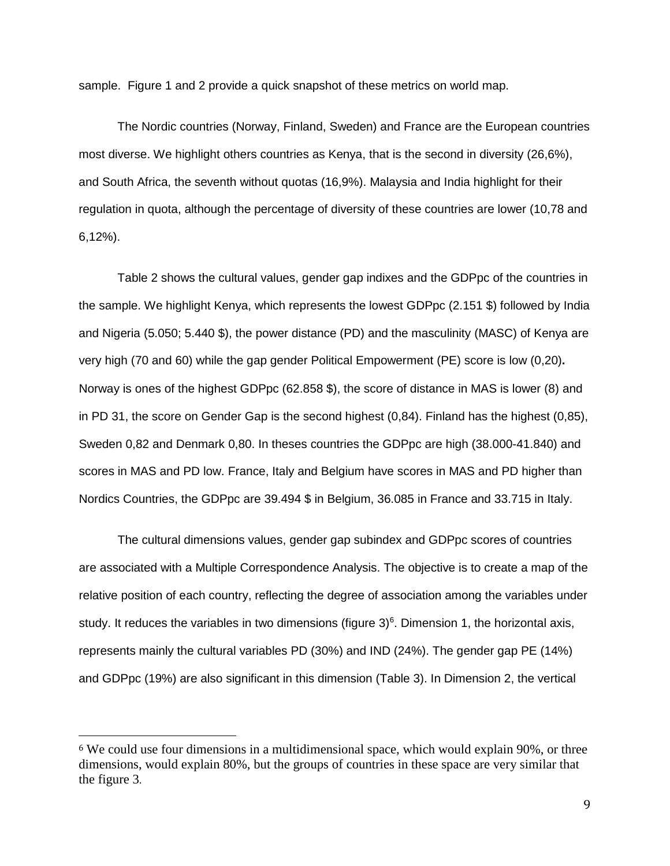sample. Figure 1 and 2 provide a quick snapshot of these metrics on world map.

The Nordic countries (Norway, Finland, Sweden) and France are the European countries most diverse. We highlight others countries as Kenya, that is the second in diversity (26,6%), and South Africa, the seventh without quotas (16,9%). Malaysia and India highlight for their regulation in quota, although the percentage of diversity of these countries are lower (10,78 and 6,12%).

Table 2 shows the cultural values, gender gap indixes and the GDPpc of the countries in the sample. We highlight Kenya, which represents the lowest GDPpc (2.151 \$) followed by India and Nigeria (5.050; 5.440 \$), the power distance (PD) and the masculinity (MASC) of Kenya are very high (70 and 60) while the gap gender Political Empowerment (PE) score is low (0,20)**.** Norway is ones of the highest GDPpc (62.858 \$), the score of distance in MAS is lower (8) and in PD 31, the score on Gender Gap is the second highest (0,84). Finland has the highest (0,85), Sweden 0,82 and Denmark 0,80. In theses countries the GDPpc are high (38.000-41.840) and scores in MAS and PD low. France, Italy and Belgium have scores in MAS and PD higher than Nordics Countries, the GDPpc are 39.494 \$ in Belgium, 36.085 in France and 33.715 in Italy.

The cultural dimensions values, gender gap subindex and GDPpc scores of countries are associated with a Multiple Correspondence Analysis. The objective is to create a map of the relative position of each country, reflecting the degree of association among the variables under study. It reduces the variables in two dimensions (figure 3)<sup>6</sup>. Dimension 1, the horizontal axis, represents mainly the cultural variables PD (30%) and IND (24%). The gender gap PE (14%) and GDPpc (19%) are also significant in this dimension (Table 3). In Dimension 2, the vertical

<span id="page-8-0"></span> <sup>6</sup> We could use four dimensions in a multidimensional space, which would explain 90%, or three dimensions, would explain 80%, but the groups of countries in these space are very similar that the figure 3.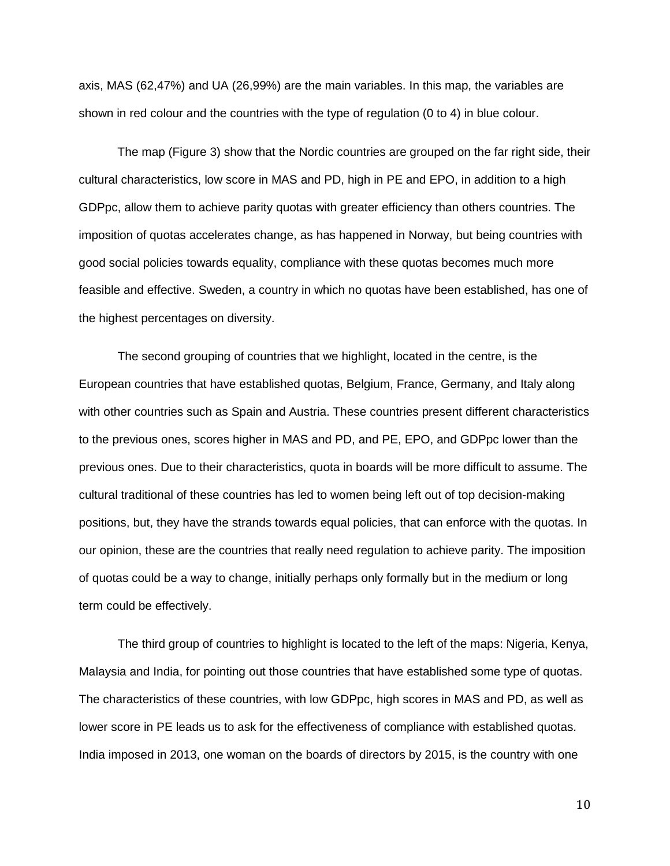axis, MAS (62,47%) and UA (26,99%) are the main variables. In this map, the variables are shown in red colour and the countries with the type of regulation (0 to 4) in blue colour.

The map (Figure 3) show that the Nordic countries are grouped on the far right side, their cultural characteristics, low score in MAS and PD, high in PE and EPO, in addition to a high GDPpc, allow them to achieve parity quotas with greater efficiency than others countries. The imposition of quotas accelerates change, as has happened in Norway, but being countries with good social policies towards equality, compliance with these quotas becomes much more feasible and effective. Sweden, a country in which no quotas have been established, has one of the highest percentages on diversity.

The second grouping of countries that we highlight, located in the centre, is the European countries that have established quotas, Belgium, France, Germany, and Italy along with other countries such as Spain and Austria. These countries present different characteristics to the previous ones, scores higher in MAS and PD, and PE, EPO, and GDPpc lower than the previous ones. Due to their characteristics, quota in boards will be more difficult to assume. The cultural traditional of these countries has led to women being left out of top decision-making positions, but, they have the strands towards equal policies, that can enforce with the quotas. In our opinion, these are the countries that really need regulation to achieve parity. The imposition of quotas could be a way to change, initially perhaps only formally but in the medium or long term could be effectively.

The third group of countries to highlight is located to the left of the maps: Nigeria, Kenya, Malaysia and India, for pointing out those countries that have established some type of quotas. The characteristics of these countries, with low GDPpc, high scores in MAS and PD, as well as lower score in PE leads us to ask for the effectiveness of compliance with established quotas. India imposed in 2013, one woman on the boards of directors by 2015, is the country with one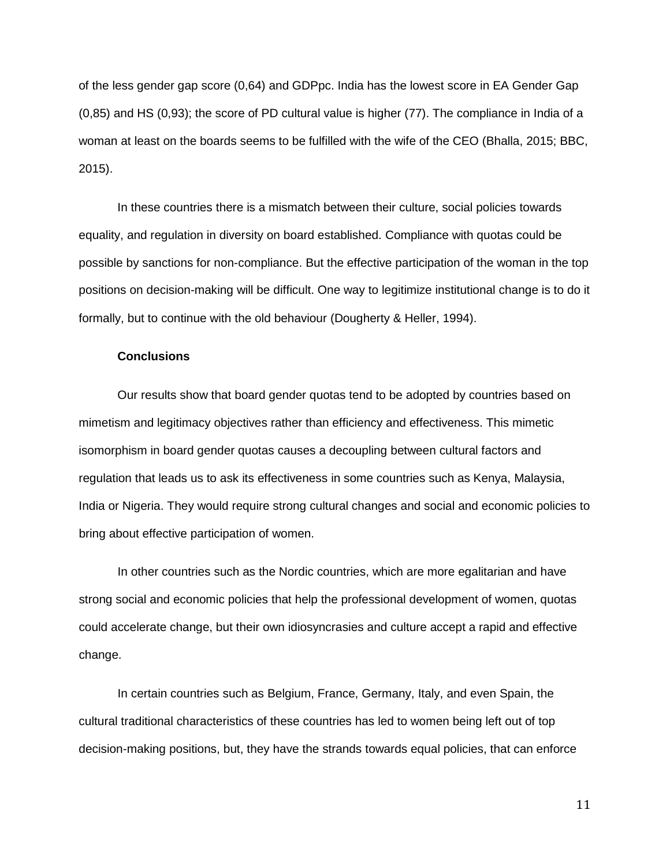of the less gender gap score (0,64) and GDPpc. India has the lowest score in EA Gender Gap (0,85) and HS (0,93); the score of PD cultural value is higher (77). The compliance in India of a woman at least on the boards seems to be fulfilled with the wife of the CEO (Bhalla, 2015; BBC, 2015).

In these countries there is a mismatch between their culture, social policies towards equality, and regulation in diversity on board established. Compliance with quotas could be possible by sanctions for non-compliance. But the effective participation of the woman in the top positions on decision-making will be difficult. One way to legitimize institutional change is to do it formally, but to continue with the old behaviour (Dougherty & Heller, 1994).

#### **Conclusions**

Our results show that board gender quotas tend to be adopted by countries based on mimetism and legitimacy objectives rather than efficiency and effectiveness. This mimetic isomorphism in board gender quotas causes a decoupling between cultural factors and regulation that leads us to ask its effectiveness in some countries such as Kenya, Malaysia, India or Nigeria. They would require strong cultural changes and social and economic policies to bring about effective participation of women.

In other countries such as the Nordic countries, which are more egalitarian and have strong social and economic policies that help the professional development of women, quotas could accelerate change, but their own idiosyncrasies and culture accept a rapid and effective change.

In certain countries such as Belgium, France, Germany, Italy, and even Spain, the cultural traditional characteristics of these countries has led to women being left out of top decision-making positions, but, they have the strands towards equal policies, that can enforce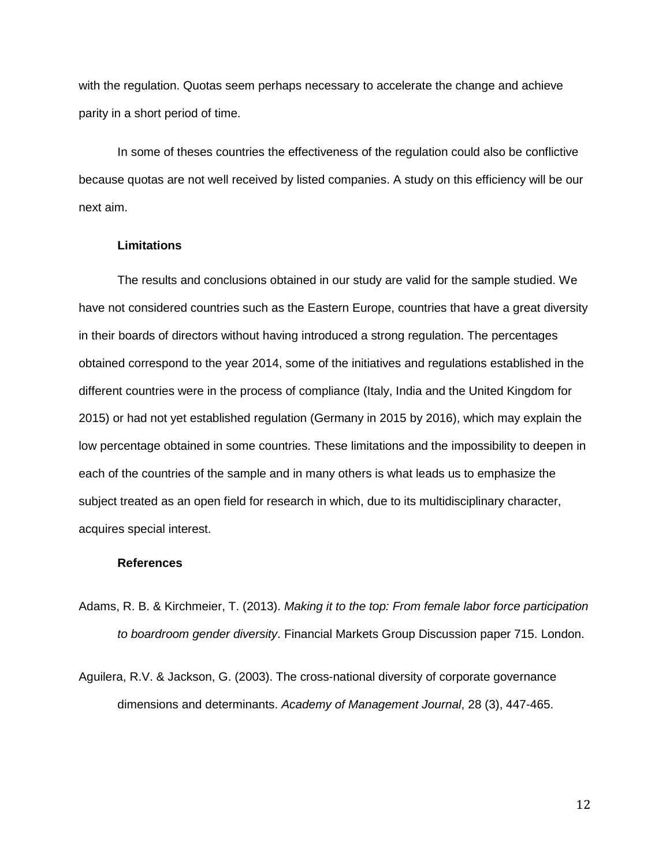with the regulation. Quotas seem perhaps necessary to accelerate the change and achieve parity in a short period of time.

In some of theses countries the effectiveness of the regulation could also be conflictive because quotas are not well received by listed companies. A study on this efficiency will be our next aim.

#### **Limitations**

The results and conclusions obtained in our study are valid for the sample studied. We have not considered countries such as the Eastern Europe, countries that have a great diversity in their boards of directors without having introduced a strong regulation. The percentages obtained correspond to the year 2014, some of the initiatives and regulations established in the different countries were in the process of compliance (Italy, India and the United Kingdom for 2015) or had not yet established regulation (Germany in 2015 by 2016), which may explain the low percentage obtained in some countries. These limitations and the impossibility to deepen in each of the countries of the sample and in many others is what leads us to emphasize the subject treated as an open field for research in which, due to its multidisciplinary character, acquires special interest.

#### **References**

- Adams, R. B. & Kirchmeier, T. (2013). *Making it to the top: From female labor force participation to boardroom gender diversity*. Financial Markets Group Discussion paper 715. London.
- Aguilera, R.V. & Jackson, G. (2003). The cross-national diversity of corporate governance dimensions and determinants. *Academy of Management Journal*, 28 (3), 447-465.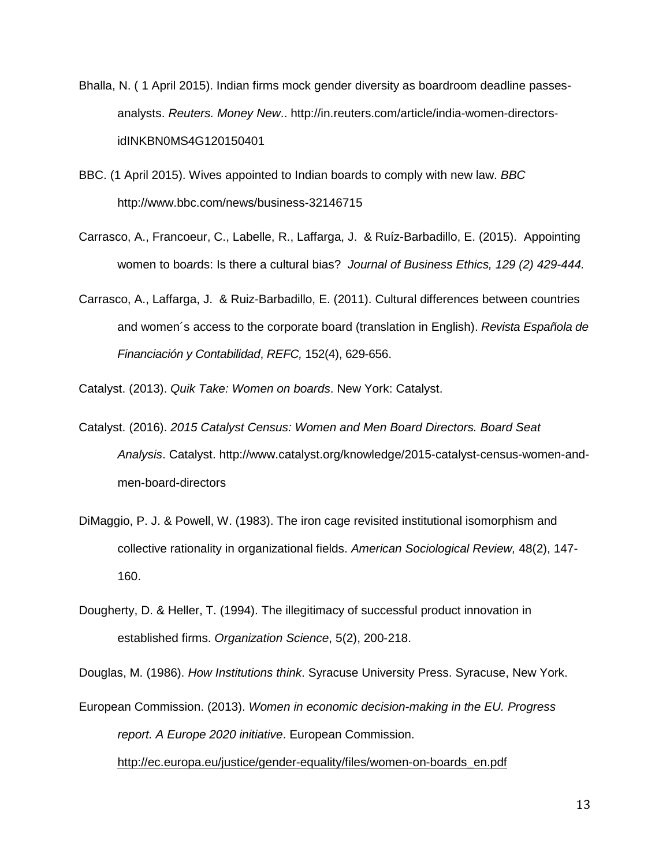- Bhalla, N. ( 1 April 2015). Indian firms mock gender diversity as boardroom deadline passesanalysts. *Reuters. Money New*.. http://in.reuters.com/article/india-women-directorsidINKBN0MS4G120150401
- BBC. (1 April 2015). Wives appointed to Indian boards to comply with new law. *BBC* http://www.bbc.com/news/business-32146715
- Carrasco, A., Francoeur, C., Labelle, R., Laffarga, J. & Ruíz-Barbadillo, E. (2015). Appointing women to bo*ar*ds: Is there a cultural bias? *Journal of Business Ethics, 129 (2) 429-444.*
- Carrasco, A., Laffarga, J. & Ruiz-Barbadillo, E. (2011). Cultural differences between countries and women´s access to the corporate board (translation in English). *Revista Española de Financiación y Contabilidad*, *REFC,* 152(4), 629-656.

Catalyst. (2013). *Quik Take: Women on boards*. New York: Catalyst.

- Catalyst. (2016). *2015 Catalyst Census: Women and Men Board Directors. Board Seat Analysis*. Catalyst. http://www.catalyst.org/knowledge/2015-catalyst-census-women-andmen-board-directors
- DiMaggio, P. J. & Powell, W. (1983). The iron cage revisited institutional isomorphism and collective rationality in organizational fields. *American Sociological Review,* 48(2), 147- 160.
- Dougherty, D. & Heller, T. (1994). The illegitimacy of successful product innovation in established firms. *Organization Science*, 5(2), 200-218.

Douglas, M. (1986). *How Institutions think*. Syracuse University Press. Syracuse, New York.

European Commission. (2013). *Women in economic decision-making in the EU. Progress report. A Europe 2020 initiative*. European Commission.

[http://ec.europa.eu/justice/gender-equality/files/women-on-boards\\_en.pdf](http://ec.europa.eu/justice/gender-equality/files/women-on-boards_en.pdf)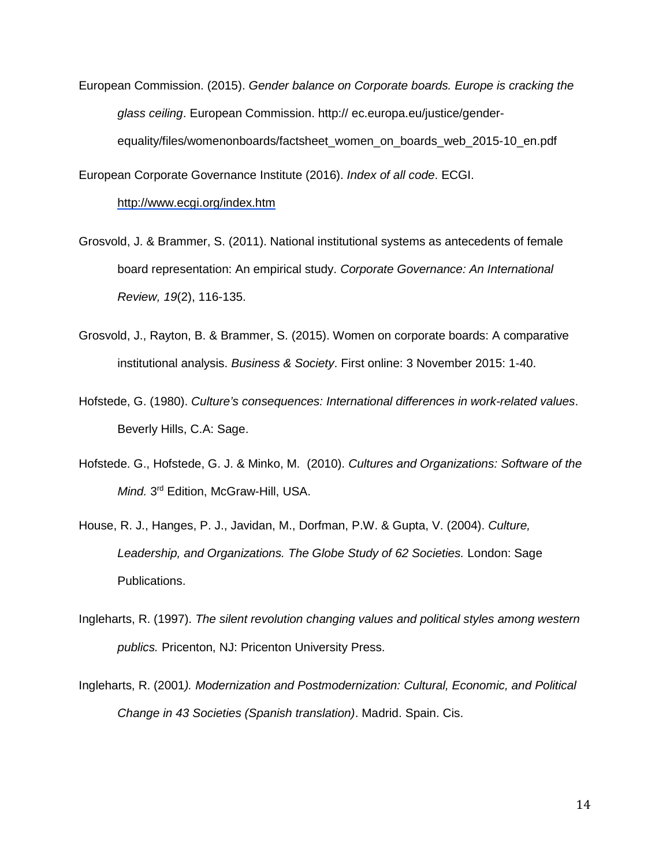European Commission. (2015). *Gender balance on Corporate boards. Europe is cracking the glass ceiling*. European Commission. http:// ec.europa.eu/justice/genderequality/files/womenonboards/factsheet\_women\_on\_boards\_web\_2015-10\_en.pdf

European Corporate Governance Institute (2016). *Index of all code*. ECGI.

<http://www.ecgi.org/index.htm>

- Grosvold, J. & Brammer, S. (2011). National institutional systems as antecedents of female board representation: An empirical study. *Corporate Governance: An International Review, 19*(2), 116-135.
- Grosvold, J., Rayton, B. & Brammer, S. (2015). Women on corporate boards: A comparative institutional analysis. *Business & Society*. First online: 3 November 2015: 1-40.
- Hofstede, G. (1980). *Culture's consequences: International differences in work-related values*. Beverly Hills, C.A: Sage.
- Hofstede. G., Hofstede, G. J. & Minko, M. (2010). *Cultures and Organizations: Software of the Mind.* 3rd Edition, McGraw-Hill, USA.
- House, R. J., Hanges, P. J., Javidan, M., Dorfman, P.W. & Gupta, V. (2004). *Culture, Leadership, and Organizations. The Globe Study of 62 Societies.* London: Sage Publications.
- Ingleharts, R. (1997). *The silent revolution changing values and political styles among western publics.* Pricenton, NJ: Pricenton University Press.
- Ingleharts, R. (2001*). Modernization and Postmodernization: Cultural, Economic, and Political Change in 43 Societies (Spanish translation)*. Madrid. Spain. Cis.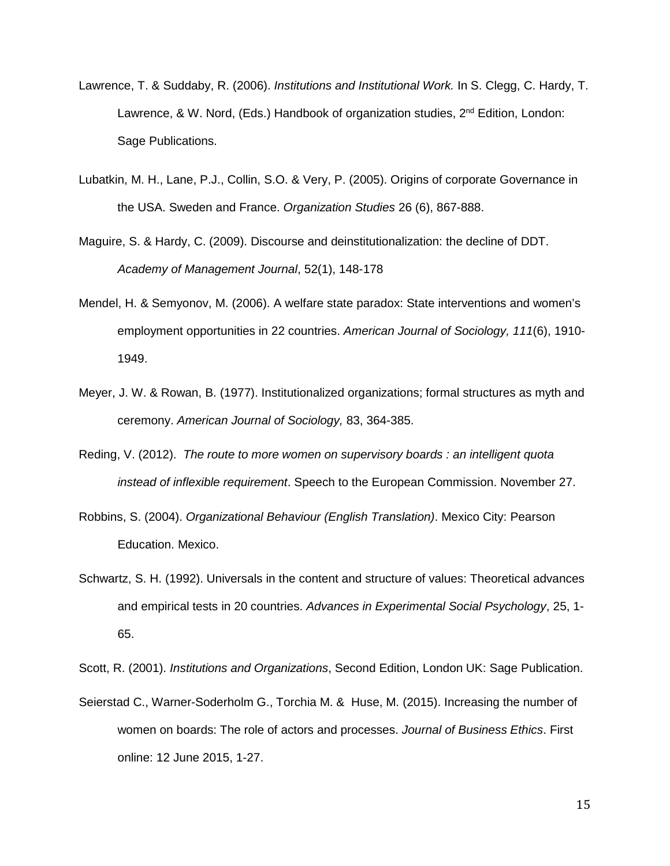- Lawrence, T. & Suddaby, R. (2006). *Institutions and Institutional Work.* In S. Clegg, C. Hardy, T. Lawrence, & W. Nord, (Eds.) Handbook of organization studies, 2<sup>nd</sup> Edition, London: Sage Publications.
- Lubatkin, M. H., Lane, P.J., Collin, S.O. & Very, P. (2005). Origins of corporate Governance in the USA. Sweden and France. *Organization Studies* 26 (6), 867-888.
- Maguire, S. & Hardy, C. (2009). Discourse and deinstitutionalization: the decline of DDT. *Academy of Management Journal*, 52(1), 148-178
- Mendel, H. & Semyonov, M. (2006). A welfare state paradox: State interventions and women's employment opportunities in 22 countries. *American Journal of Sociology, 111*(6), 1910- 1949.
- Meyer, J. W. & Rowan, B. (1977). Institutionalized organizations; formal structures as myth and ceremony. *American Journal of Sociology,* 83, 364-385.
- Reding, V. (2012). *The route to more women on supervisory boards : an intelligent quota instead of inflexible requirement*. Speech to the European Commission. November 27.
- Robbins, S. (2004). *Organizational Behaviour (English Translation)*. Mexico City: Pearson Education. Mexico.
- Schwartz, S. H. (1992). Universals in the content and structure of values: Theoretical advances and empirical tests in 20 countries. *Advances in Experimental Social Psychology*, 25, 1- 65.

Scott, R. (2001). *Institutions and Organizations*, Second Edition, London UK: Sage Publication.

Seierstad C., Warner-Soderholm G., Torchia M. & Huse, M. (2015). Increasing the number of women on boards: The role of actors and processes. *Journal of Business Ethics*. First online: 12 June 2015, 1-27.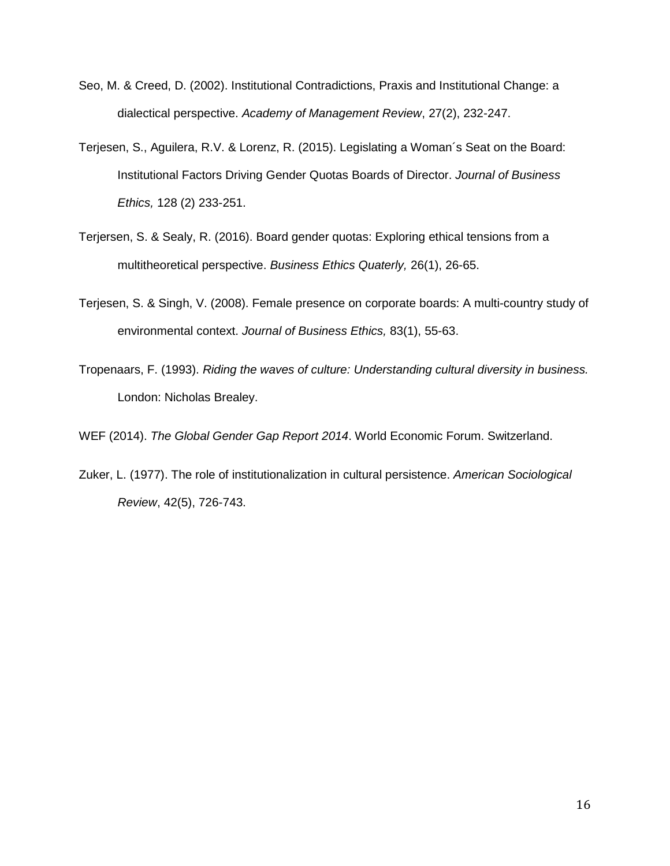- Seo, M. & Creed, D. (2002). Institutional Contradictions, Praxis and Institutional Change: a dialectical perspective. *Academy of Management Review*, 27(2), 232-247.
- Terjesen, S., Aguilera, R.V. & Lorenz, R. (2015). Legislating a Woman´s Seat on the Board: Institutional Factors Driving Gender Quotas Boards of Director. *Journal of Business Ethics,* 128 (2) 233-251.
- Terjersen, S. & Sealy, R. (2016). Board gender quotas: Exploring ethical tensions from a multitheoretical perspective. *Business Ethics Quaterly,* 26(1), 26-65.
- Terjesen, S. & Singh, V. (2008). Female presence on corporate boards: A multi-country study of environmental context. *Journal of Business Ethics,* 83(1), 55-63.
- Tropenaars, F. (1993). *Riding the waves of culture: Understanding cultural diversity in business.*  London: Nicholas Brealey.

WEF (2014). *The Global Gender Gap Report 2014*. World Economic Forum. Switzerland.

Zuker, L. (1977). The role of institutionalization in cultural persistence. *American Sociological Review*, 42(5), 726-743.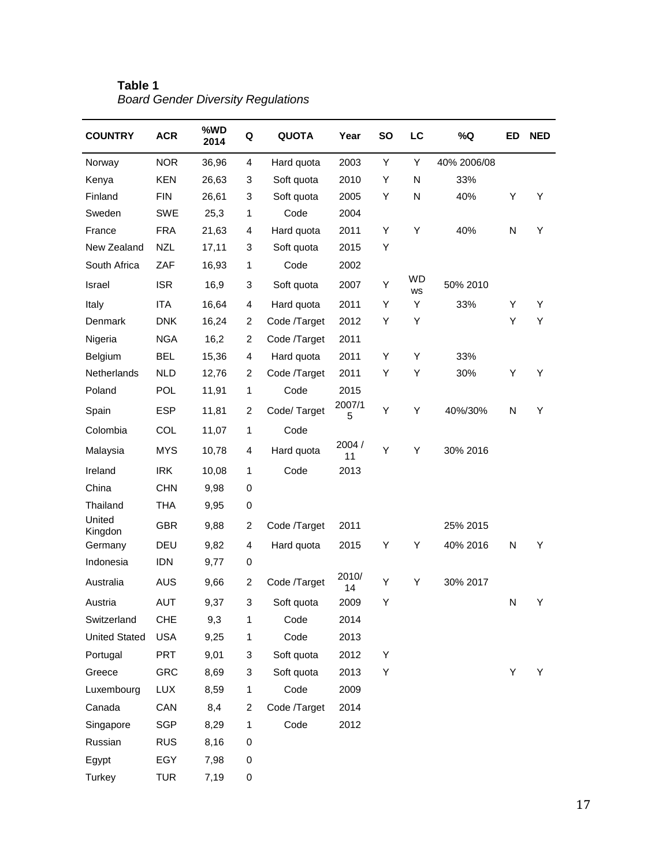| <b>COUNTRY</b>       | <b>ACR</b> | %WD<br>2014 | Q              | <b>QUOTA</b>       | Year         | <b>SO</b> | LC              | %Q          | ED | <b>NED</b> |
|----------------------|------------|-------------|----------------|--------------------|--------------|-----------|-----------------|-------------|----|------------|
| Norway               | <b>NOR</b> | 36,96       | 4              | Hard quota         | 2003         | Y         | Y               | 40% 2006/08 |    |            |
| Kenya                | <b>KEN</b> | 26,63       | 3              | Soft quota         | 2010         | Υ         | N               | 33%         |    |            |
| Finland              | <b>FIN</b> | 26,61       | 3              | Soft quota<br>2005 |              | Υ         | N               | 40%         | Υ  | Y          |
| Sweden               | <b>SWE</b> | 25,3        | 1              | Code               | 2004         |           |                 |             |    |            |
| France               | <b>FRA</b> | 21,63       | 4              | Hard quota         | 2011         | Υ         | Υ               | 40%         | N  | Υ          |
| New Zealand          | <b>NZL</b> | 17,11       | 3              | Soft quota         | 2015         | Υ         |                 |             |    |            |
| South Africa         | ZAF        | 16,93       | 1              | Code               | 2002         |           |                 |             |    |            |
| Israel               | <b>ISR</b> | 16,9        | 3              | Soft quota         | 2007         | Υ         | <b>WD</b><br>WS | 50% 2010    |    |            |
| Italy                | <b>ITA</b> | 16,64       | 4              | Hard quota         | 2011         | Υ         | Υ               | 33%         | Y  | Y          |
| Denmark              | <b>DNK</b> | 16,24       | $\overline{c}$ | Code /Target       | 2012         | Υ         | Y               |             | Υ  | Y          |
| Nigeria              | <b>NGA</b> | 16,2        | 2              | Code /Target       | 2011         |           |                 |             |    |            |
| Belgium              | <b>BEL</b> | 15,36       | 4              | Hard quota         | 2011         | Υ         | Υ               | 33%         |    |            |
| Netherlands          | <b>NLD</b> | 12,76       | 2              | Code /Target       | 2011         | Υ         | Υ               | 30%         | Υ  | Y          |
| Poland               | POL        | 11,91       | 1              | Code               | 2015         |           |                 |             |    |            |
| Spain                | <b>ESP</b> | 11,81       | $\overline{c}$ | Code/Target        | 2007/1<br>5  | Y         | Υ               | 40%/30%     | N  | Υ          |
| Colombia             | COL        | 11,07       | 1              | Code               |              |           |                 |             |    |            |
| Malaysia             | <b>MYS</b> | 10,78       | 4              | Hard quota         | 2004 /<br>11 | Υ         | Y               | 30% 2016    |    |            |
| Ireland              | <b>IRK</b> | 10,08       | 1              | Code               | 2013         |           |                 |             |    |            |
| China                | <b>CHN</b> | 9,98        | 0              |                    |              |           |                 |             |    |            |
| Thailand             | <b>THA</b> | 9,95        | 0              |                    |              |           |                 |             |    |            |
| United<br>Kingdon    | <b>GBR</b> | 9,88        | $\overline{c}$ | Code /Target       | 2011         |           |                 | 25% 2015    |    |            |
| Germany              | DEU        | 9,82        | 4              | Hard quota         | 2015         | Υ         | Υ               | 40% 2016    | N  | Y          |
| Indonesia            | <b>IDN</b> | 9,77        | 0              |                    |              |           |                 |             |    |            |
| Australia            | <b>AUS</b> | 9,66        | 2              | Code /Target       | 2010/<br>14  | Y         | Y               | 30% 2017    |    |            |
| Austria              | <b>AUT</b> | 9,37        | 3              | Soft quota         | 2009         | Υ         |                 |             | N  | Y          |
| Switzerland          | <b>CHE</b> | 9,3         | 1              | Code               | 2014         |           |                 |             |    |            |
| <b>United Stated</b> | <b>USA</b> | 9,25        | $\mathbf{1}$   | Code               | 2013         |           |                 |             |    |            |
| Portugal             | <b>PRT</b> | 9,01        | 3              | Soft quota         | 2012         | Υ         |                 |             |    |            |
| Greece               | GRC        | 8,69        | 3              | Soft quota         | 2013         | Υ         |                 |             | Y  | Y          |
| Luxembourg           | <b>LUX</b> | 8,59        | $\mathbf{1}$   | Code               | 2009         |           |                 |             |    |            |
| Canada               | CAN        | 8,4         | $\overline{c}$ | Code /Target       | 2014         |           |                 |             |    |            |
| Singapore            | SGP        | 8,29        | $\mathbf{1}$   | Code               | 2012         |           |                 |             |    |            |
| Russian              | <b>RUS</b> | 8,16        | 0              |                    |              |           |                 |             |    |            |
| Egypt                | EGY        | 7,98        | 0              |                    |              |           |                 |             |    |            |
| Turkey               | <b>TUR</b> | 7,19        | 0              |                    |              |           |                 |             |    |            |

**Table 1** *Board Gender Diversity Regulations*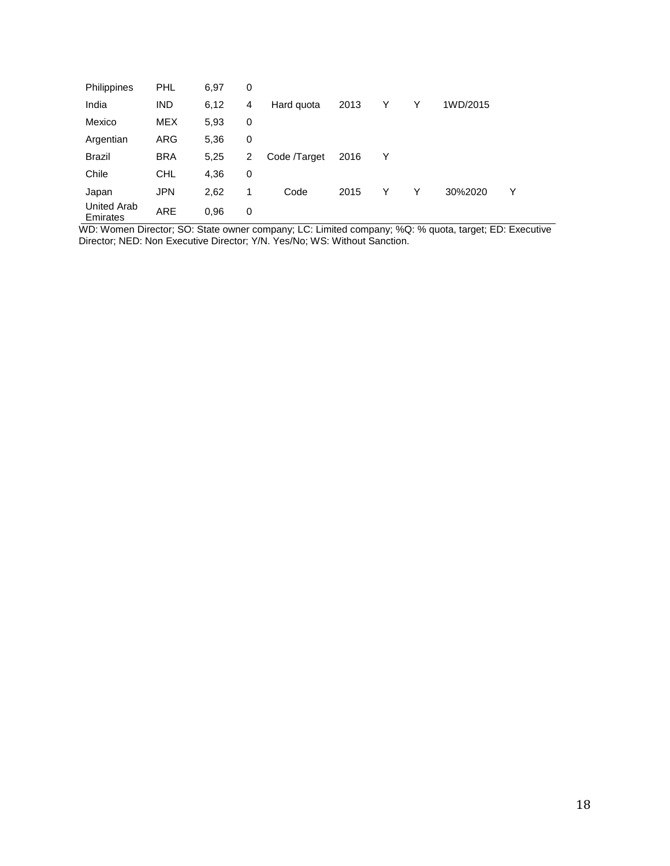| Philippines                    | <b>PHL</b> | 6.97 | 0 |              |      |   |   |          |   |
|--------------------------------|------------|------|---|--------------|------|---|---|----------|---|
| India                          | <b>IND</b> | 6,12 | 4 | Hard quota   | 2013 | Y | Y | 1WD/2015 |   |
| Mexico                         | <b>MEX</b> | 5,93 | 0 |              |      |   |   |          |   |
| Argentian                      | ARG        | 5,36 | 0 |              |      |   |   |          |   |
| Brazil                         | <b>BRA</b> | 5,25 | 2 | Code /Target | 2016 | Y |   |          |   |
| Chile                          | CHL        | 4,36 | 0 |              |      |   |   |          |   |
| Japan                          | <b>JPN</b> | 2,62 | 1 | Code         | 2015 | Y | Y | 30%2020  | Υ |
| <b>United Arab</b><br>Emirates | ARE        | 0,96 | 0 |              |      |   |   |          |   |

WD: Women Director; SO: State owner company; LC: Limited company; %Q: % quota, target; ED: Executive Director; NED: Non Executive Director; Y/N. Yes/No; WS: Without Sanction.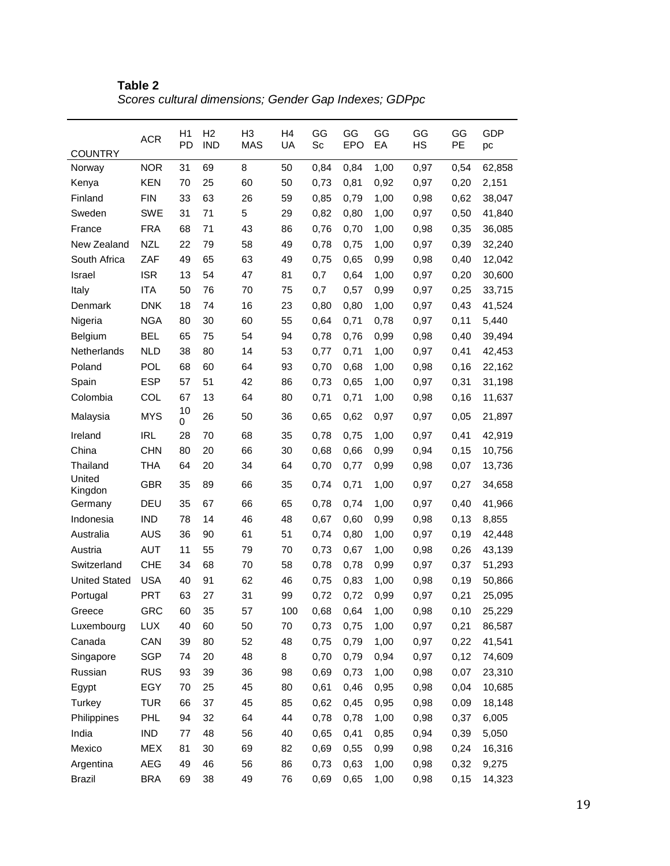|                      | <b>ACR</b> | H1<br>PD | H2<br><b>IND</b> | H <sub>3</sub><br><b>MAS</b> | H <sub>4</sub><br>UA | GG<br>Sc | GG<br><b>EPO</b> | GG<br>EA | GG<br>HS | GG<br><b>PE</b> | <b>GDP</b><br>pc |
|----------------------|------------|----------|------------------|------------------------------|----------------------|----------|------------------|----------|----------|-----------------|------------------|
| <b>COUNTRY</b>       |            |          |                  |                              |                      |          |                  |          |          |                 |                  |
| Norway               | <b>NOR</b> | 31       | 69               | 8                            | 50                   | 0,84     | 0,84             | 1,00     | 0,97     | 0,54            | 62,858           |
| Kenya                | <b>KEN</b> | 70       | 25               | 60                           | 50                   | 0,73     | 0,81             | 0,92     | 0,97     | 0,20            | 2,151            |
| Finland              | <b>FIN</b> | 33       | 63               | 26                           | 59                   | 0,85     | 0,79             | 1,00     | 0,98     | 0,62            | 38,047           |
| Sweden               | <b>SWE</b> | 31       | 71               | 5                            | 29                   | 0,82     | 0,80             | 1,00     | 0,97     | 0,50            | 41,840           |
| France               | <b>FRA</b> | 68       | 71               | 43                           | 86                   | 0.76     | 0,70             | 1,00     | 0,98     | 0,35            | 36,085           |
| New Zealand          | <b>NZL</b> | 22       | 79               | 58                           | 49                   | 0,78     | 0,75             | 1,00     | 0,97     | 0,39            | 32,240           |
| South Africa         | ZAF        | 49       | 65               | 63                           | 49                   | 0.75     | 0,65             | 0,99     | 0,98     | 0,40            | 12,042           |
| Israel               | <b>ISR</b> | 13       | 54               | 47                           | 81                   | 0,7      | 0,64             | 1,00     | 0,97     | 0,20            | 30,600           |
| Italy                | <b>ITA</b> | 50       | 76               | 70                           | 75                   | 0,7      | 0,57             | 0,99     | 0,97     | 0,25            | 33,715           |
| Denmark              | <b>DNK</b> | 18       | 74               | 16                           | 23                   | 0,80     | 0,80             | 1,00     | 0,97     | 0,43            | 41,524           |
| Nigeria              | <b>NGA</b> | 80       | 30               | 60                           | 55                   | 0.64     | 0,71             | 0,78     | 0,97     | 0,11            | 5,440            |
| <b>Belgium</b>       | <b>BEL</b> | 65       | 75               | 54                           | 94                   | 0,78     | 0,76             | 0,99     | 0,98     | 0,40            | 39,494           |
| Netherlands          | <b>NLD</b> | 38       | 80               | 14                           | 53                   | 0,77     | 0,71             | 1,00     | 0,97     | 0,41            | 42,453           |
| Poland               | <b>POL</b> | 68       | 60               | 64                           | 93                   | 0,70     | 0,68             | 1,00     | 0,98     | 0,16            | 22,162           |
| Spain                | <b>ESP</b> | 57       | 51               | 42                           | 86                   | 0,73     | 0,65             | 1,00     | 0,97     | 0,31            | 31,198           |
| Colombia             | COL        | 67       | 13               | 64                           | 80                   | 0,71     | 0,71             | 1,00     | 0,98     | 0,16            | 11,637           |
| Malaysia             | <b>MYS</b> | 10<br>0  | 26               | 50                           | 36                   | 0,65     | 0,62             | 0,97     | 0,97     | 0,05            | 21,897           |
| Ireland              | <b>IRL</b> | 28       | 70               | 68                           | 35                   | 0,78     | 0,75             | 1,00     | 0,97     | 0,41            | 42,919           |
| China                | <b>CHN</b> | 80       | 20               | 66                           | 30                   | 0,68     | 0,66             | 0,99     | 0,94     | 0,15            | 10,756           |
| Thailand             | <b>THA</b> | 64       | 20               | 34                           | 64                   | 0,70     | 0,77             | 0,99     | 0,98     | 0,07            | 13,736           |
| United<br>Kingdon    | <b>GBR</b> | 35       | 89               | 66                           | 35                   | 0,74     | 0,71             | 1,00     | 0,97     | 0,27            | 34,658           |
| Germany              | DEU        | 35       | 67               | 66                           | 65                   | 0,78     | 0,74             | 1,00     | 0,97     | 0,40            | 41,966           |
| Indonesia            | <b>IND</b> | 78       | 14               | 46                           | 48                   | 0,67     | 0,60             | 0,99     | 0,98     | 0,13            | 8,855            |
| Australia            | <b>AUS</b> | 36       | 90               | 61                           | 51                   | 0,74     | 0,80             | 1,00     | 0,97     | 0,19            | 42,448           |
| Austria              | <b>AUT</b> | 11       | 55               | 79                           | 70                   | 0,73     | 0,67             | 1,00     | 0,98     | 0,26            | 43,139           |
| Switzerland          | <b>CHE</b> | 34       | 68               | 70                           | 58                   | 0,78     | 0,78             | 0,99     | 0,97     | 0,37            | 51,293           |
| <b>United Stated</b> | <b>USA</b> | 40       | 91               | 62                           | 46                   | 0,75     | 0,83             | 1,00     | 0,98     | 0,19            | 50,866           |
| Portugal             | <b>PRT</b> | 63       | 27               | 31                           | 99                   | 0,72     | 0,72             | 0,99     | 0,97     | 0,21            | 25,095           |
| Greece               | GRC        | 60       | 35               | 57                           | 100                  | 0,68     | 0,64             | 1,00     | 0,98     | 0,10            | 25,229           |
| Luxembourg           | LUX        | 40       | 60               | 50                           | 70                   | 0,73     | 0,75             | 1,00     | 0,97     | 0,21            | 86,587           |
| Canada               | CAN        | 39       | 80               | 52                           | 48                   | 0,75     | 0,79             | 1,00     | 0,97     | 0,22            | 41,541           |
| Singapore            | <b>SGP</b> | 74       | 20               | 48                           | 8                    | 0,70     | 0,79             | 0,94     | 0,97     | 0,12            | 74,609           |
| Russian              | <b>RUS</b> | 93       | 39               | 36                           | 98                   | 0,69     | 0,73             | 1,00     | 0,98     | 0,07            | 23,310           |
| Egypt                | EGY        | 70       | 25               | 45                           | 80                   | 0,61     | 0,46             | 0,95     | 0,98     | 0,04            | 10,685           |
| Turkey               | <b>TUR</b> | 66       | 37               | 45                           | 85                   | 0,62     | 0,45             | 0,95     | 0,98     | 0,09            | 18,148           |
| Philippines          | PHL        | 94       | 32               | 64                           | 44                   | 0,78     | 0,78             | 1,00     | 0,98     | 0,37            | 6,005            |
| India                | <b>IND</b> | 77       | 48               | 56                           | 40                   | 0,65     | 0,41             | 0,85     | 0,94     | 0,39            | 5,050            |
| Mexico               | <b>MEX</b> | 81       | 30               | 69                           | 82                   | 0,69     | 0,55             | 0,99     | 0,98     | 0,24            | 16,316           |
| Argentina            | AEG        | 49       | 46               | 56                           | 86                   | 0,73     | 0,63             | 1,00     | 0,98     | 0,32            | 9,275            |
| <b>Brazil</b>        | <b>BRA</b> | 69       | 38               | 49                           | 76                   | 0,69     | 0,65             | 1,00     | 0,98     | 0,15            | 14,323           |

**Table 2** *Scores cultural dimensions; Gender Gap Indexes; GDPpc*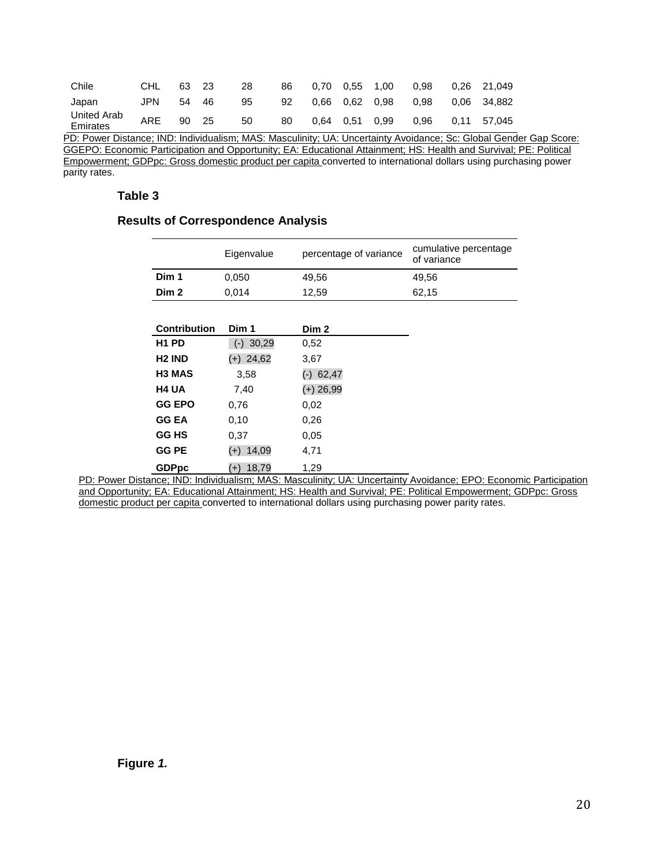| Chile                   | CHL  | 63 | -23 | 28 | 86 |      | 0.70  0.55  1.00 |      | 0.98 |      | 0.26 21.049 |
|-------------------------|------|----|-----|----|----|------|------------------|------|------|------|-------------|
| Japan                   | JPN. | 54 | 46  | 95 | 92 |      | $0.66$ 0.62 0.98 |      | 0.98 |      | 0.06 34.882 |
| United Arab<br>Emirates | ARE  | 90 | 25  | 50 | 80 | 0.64 | 0.51             | 0.99 | 0.96 | 0.11 | 57.045      |

PD: Power Distance; IND: Individualism; MAS: Masculinity; UA: Uncertainty Avoidance; Sc: Global Gender Gap Score: GGEPO: Economic Participation and Opportunity; EA: Educational Attainment; HS: Health and Survival; PE: Political Empowerment; GDPpc: Gross domestic product per capita converted to international dollars using purchasing power parity rates.

#### **Table 3**

#### **Results of Correspondence Analysis**

|                                | Eigenvalue     | percentage of variance | cumulative percentage<br>of variance |
|--------------------------------|----------------|------------------------|--------------------------------------|
| Dim 1                          | 0,050          | 49,56                  | 49,56                                |
| Dim 2                          | 0,014          | 12,59                  | 62,15                                |
|                                |                |                        |                                      |
| <b>Contribution</b>            | Dim 1          | Dim <sub>2</sub>       |                                      |
| H <sub>1</sub> PD              | 30,29<br>$(-)$ | 0,52                   |                                      |
| H <sub>2</sub> IND             | $(+)$ 24,62    | 3,67                   |                                      |
| H <sub>3</sub> M <sub>AS</sub> | 3,58           | $(-)$ 62,47            |                                      |
| <b>H4 UA</b>                   | 7,40           | $(+)$ 26,99            |                                      |
| <b>GG EPO</b>                  | 0,76           | 0,02                   |                                      |
| <b>GG EA</b>                   | 0,10           | 0,26                   |                                      |
| <b>GG HS</b>                   | 0,37           | 0.05                   |                                      |
| <b>GG PE</b>                   | $(+)$ 14,09    | 4,71                   |                                      |
| <b>GDPpc</b>                   | 18,79<br>$(+)$ | 1,29                   |                                      |

PD: Power Distance; IND: Individualism; MAS: Masculinity; UA: Uncertainty Avoidance; EPO: Economic Participation and Opportunity; EA: Educational Attainment; HS: Health and Survival; PE: Political Empowerment; GDPpc: Gross domestic product per capita converted to international dollars using purchasing power parity rates.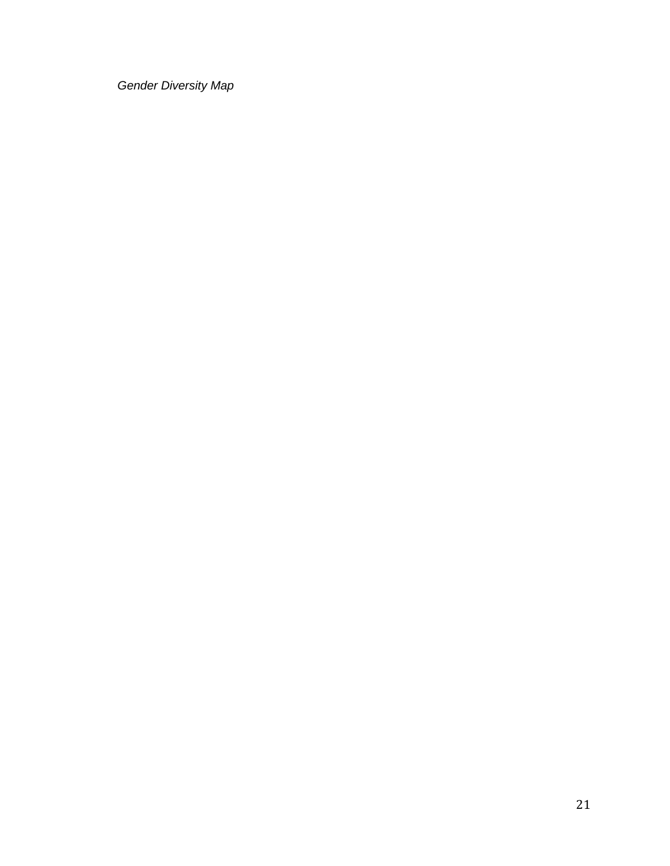*Gender Diversity Map*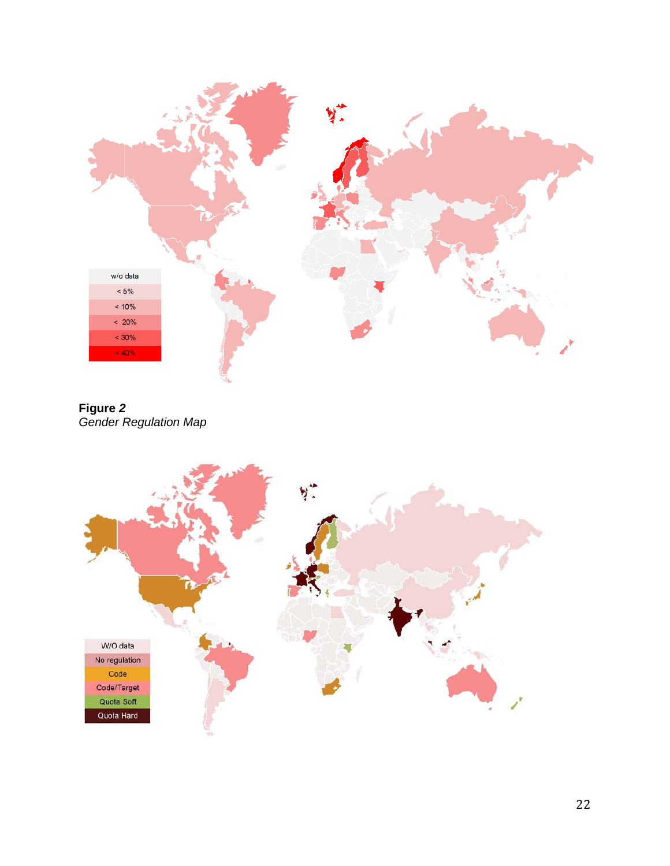

**Figure** *2 Gender Regulation Map*